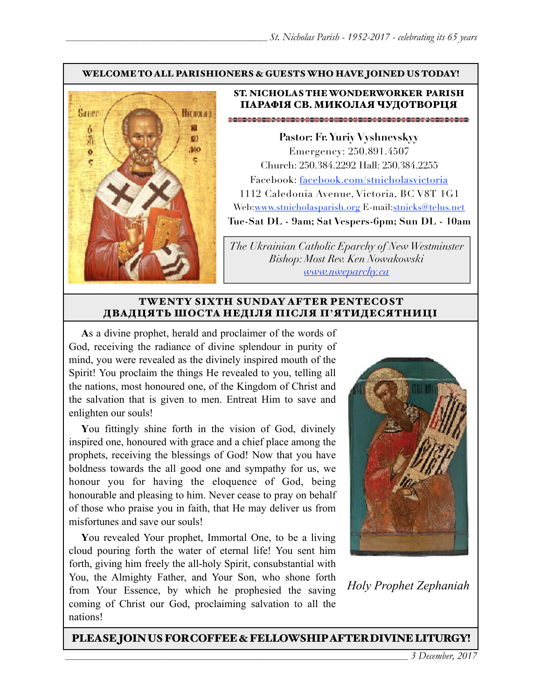#### WELCOME TO ALL PARISHIONERS & GUESTS WHO HAVE JOINED US TODAY!



#### ST. NICHOLAS THE WONDERWORKER PARISH ПАРАФІЯ СВ. МИКОЛАЯ ЧУДОТВОРЦЯ

**Pastor: Fr. Yuriy Vyshnevskyy** Emergency: 250.891.4507 Church: 250.384.2292 Hall: 250.384.2255 Facebook: facebook.com/stnicholasvictoria 1112 Caledonia Avenue, Victoria, BC V8T 1G1 Web[:www.stnicholasparish.org](http://www.stnicholasparish.org) E-mail:[stnicks@telus.net](mailto:stnicks@telus.net) **Tue-Sat DL - 9am; Sat Vespers-6pm; Sun DL - 10am**

*The Ukrainian Catholic Eparchy of New Westminster Bishop: Most Rev. Ken Nowakowski [www.nweparchy.ca](http://www.nweparchy.ca)*

#### TWENTY SIXTH SUNDAY AFTER PENTECOST ДВАДЦЯТЬ ШОСТА НЕДІЛЯ ПІСЛЯ П**'**ЯТИДЕСЯТНИЦІ

**A**s a divine prophet, herald and proclaimer of the words of God, receiving the radiance of divine splendour in purity of mind, you were revealed as the divinely inspired mouth of the Spirit! You proclaim the things He revealed to you, telling all the nations, most honoured one, of the Kingdom of Christ and the salvation that is given to men. Entreat Him to save and enlighten our souls!

**Y**ou fittingly shine forth in the vision of God, divinely inspired one, honoured with grace and a chief place among the prophets, receiving the blessings of God! Now that you have boldness towards the all good one and sympathy for us, we honour you for having the eloquence of God, being honourable and pleasing to him. Never cease to pray on behalf of those who praise you in faith, that He may deliver us from misfortunes and save our souls!

**Y**ou revealed Your prophet, Immortal One, to be a living cloud pouring forth the water of eternal life! You sent him forth, giving him freely the all-holy Spirit, consubstantial with You, the Almighty Father, and Your Son, who shone forth from Your Essence, by which he prophesied the saving coming of Christ our God, proclaiming salvation to all the nations!



*Holy Prophet Zephaniah*

PLEASE JOIN US FOR COFFEE & FELLOWSHIP AFTER DIVINE LITURGY!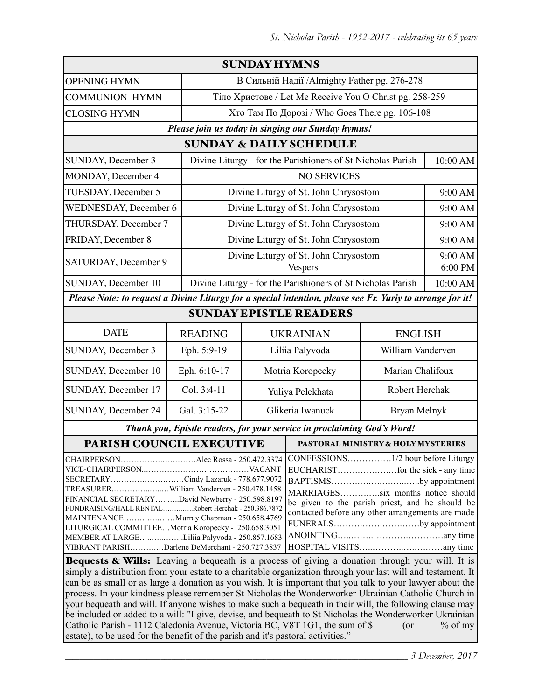| <b>SUNDAY HYMNS</b>                                                                                                                                                                                                                                                                                                                                                                                   |                                                             |  |                                                                                                                                                                                              |                                                                                                                                                                                                                                                               |  |
|-------------------------------------------------------------------------------------------------------------------------------------------------------------------------------------------------------------------------------------------------------------------------------------------------------------------------------------------------------------------------------------------------------|-------------------------------------------------------------|--|----------------------------------------------------------------------------------------------------------------------------------------------------------------------------------------------|---------------------------------------------------------------------------------------------------------------------------------------------------------------------------------------------------------------------------------------------------------------|--|
|                                                                                                                                                                                                                                                                                                                                                                                                       | В Сильній Надії /Almighty Father pg. 276-278                |  |                                                                                                                                                                                              |                                                                                                                                                                                                                                                               |  |
|                                                                                                                                                                                                                                                                                                                                                                                                       | Тіло Христове / Let Me Receive You O Christ pg. 258-259     |  |                                                                                                                                                                                              |                                                                                                                                                                                                                                                               |  |
|                                                                                                                                                                                                                                                                                                                                                                                                       | Хто Там По Дорозі / Who Goes There pg. 106-108              |  |                                                                                                                                                                                              |                                                                                                                                                                                                                                                               |  |
| Please join us today in singing our Sunday hymns!                                                                                                                                                                                                                                                                                                                                                     |                                                             |  |                                                                                                                                                                                              |                                                                                                                                                                                                                                                               |  |
| <b>SUNDAY &amp; DAILY SCHEDULE</b>                                                                                                                                                                                                                                                                                                                                                                    |                                                             |  |                                                                                                                                                                                              |                                                                                                                                                                                                                                                               |  |
|                                                                                                                                                                                                                                                                                                                                                                                                       | Divine Liturgy - for the Parishioners of St Nicholas Parish |  |                                                                                                                                                                                              | 10:00 AM                                                                                                                                                                                                                                                      |  |
|                                                                                                                                                                                                                                                                                                                                                                                                       | <b>NO SERVICES</b>                                          |  |                                                                                                                                                                                              |                                                                                                                                                                                                                                                               |  |
|                                                                                                                                                                                                                                                                                                                                                                                                       | Divine Liturgy of St. John Chrysostom                       |  |                                                                                                                                                                                              | 9:00 AM                                                                                                                                                                                                                                                       |  |
|                                                                                                                                                                                                                                                                                                                                                                                                       | Divine Liturgy of St. John Chrysostom                       |  |                                                                                                                                                                                              | 9:00 AM                                                                                                                                                                                                                                                       |  |
|                                                                                                                                                                                                                                                                                                                                                                                                       | Divine Liturgy of St. John Chrysostom                       |  |                                                                                                                                                                                              | 9:00 AM                                                                                                                                                                                                                                                       |  |
|                                                                                                                                                                                                                                                                                                                                                                                                       | Divine Liturgy of St. John Chrysostom                       |  |                                                                                                                                                                                              | 9:00 AM                                                                                                                                                                                                                                                       |  |
|                                                                                                                                                                                                                                                                                                                                                                                                       | Divine Liturgy of St. John Chrysostom<br><b>Vespers</b>     |  |                                                                                                                                                                                              | 9:00 AM<br>6:00 PM                                                                                                                                                                                                                                            |  |
|                                                                                                                                                                                                                                                                                                                                                                                                       | Divine Liturgy - for the Parishioners of St Nicholas Parish |  |                                                                                                                                                                                              | 10:00 AM                                                                                                                                                                                                                                                      |  |
|                                                                                                                                                                                                                                                                                                                                                                                                       |                                                             |  |                                                                                                                                                                                              |                                                                                                                                                                                                                                                               |  |
| <b>SUNDAY EPISTLE READERS</b>                                                                                                                                                                                                                                                                                                                                                                         |                                                             |  |                                                                                                                                                                                              |                                                                                                                                                                                                                                                               |  |
| <b>READING</b>                                                                                                                                                                                                                                                                                                                                                                                        | <b>UKRAINIAN</b>                                            |  | <b>ENGLISH</b>                                                                                                                                                                               |                                                                                                                                                                                                                                                               |  |
| Eph. 5:9-19                                                                                                                                                                                                                                                                                                                                                                                           | Liliia Palyvoda                                             |  | William Vanderven                                                                                                                                                                            |                                                                                                                                                                                                                                                               |  |
| Eph. 6:10-17                                                                                                                                                                                                                                                                                                                                                                                          | Motria Koropecky                                            |  | Marian Chalifoux                                                                                                                                                                             |                                                                                                                                                                                                                                                               |  |
| Col. 3:4-11                                                                                                                                                                                                                                                                                                                                                                                           | Yuliya Pelekhata                                            |  | Robert Herchak                                                                                                                                                                               |                                                                                                                                                                                                                                                               |  |
| Gal. 3:15-22                                                                                                                                                                                                                                                                                                                                                                                          | Glikeria Iwanuck                                            |  | Bryan Melnyk                                                                                                                                                                                 |                                                                                                                                                                                                                                                               |  |
| Thank you, Epistle readers, for your service in proclaiming God's Word!                                                                                                                                                                                                                                                                                                                               |                                                             |  |                                                                                                                                                                                              |                                                                                                                                                                                                                                                               |  |
| PARISH COUNCIL EXECUTIVE                                                                                                                                                                                                                                                                                                                                                                              |                                                             |  | PASTORAL MINISTRY & HOLY MYSTERIES                                                                                                                                                           |                                                                                                                                                                                                                                                               |  |
| SECRETARYCindy Lazaruk - 778.677.9072<br>TREASURERWilliam Vanderven - 250.478.1458<br>FINANCIAL SECRETARYDavid Newberry - 250.598.8197<br>FUNDRAISING/HALL RENTALRobert Herchak - 250.386.7872<br>MAINTENANCEMurray Chapman - 250.658.4769<br>LITURGICAL COMMITTEEMotria Koropecky - 250.658.3051<br>MEMBER AT LARGELiliia Palyvoda - 250.857.1683<br>VIBRANT PARISHDarlene DeMerchant - 250.727.3837 |                                                             |  | BAPTISMSby appointment<br>MARRIAGESsix months notice should<br>be given to the parish priest, and he should be<br>contacted before any other arrangements are made<br>FUNERALSby appointment |                                                                                                                                                                                                                                                               |  |
|                                                                                                                                                                                                                                                                                                                                                                                                       | <b>WEDNESDAY</b> , December 6<br>THURSDAY, December 7       |  |                                                                                                                                                                                              | Please Note: to request a Divine Liturgy for a special intention, please see Fr. Yuriy to arrange for it!<br>CONFESSIONS1/2 hour before Liturgy<br><b>Bequests &amp; Wills:</b> Leaving a bequeath is a process of giving a donation through your will. It is |  |

Bequests & Wills: Leaving a bequeath is a process of giving a donation through your will. It is simply a distribution from your estate to a charitable organization through your last will and testament. It can be as small or as large a donation as you wish. It is important that you talk to your lawyer about the process. In your kindness please remember St Nicholas the Wonderworker Ukrainian Catholic Church in your bequeath and will. If anyone wishes to make such a bequeath in their will, the following clause may be included or added to a will: "I give, devise, and bequeath to St Nicholas the Wonderworker Ukrainian Catholic Parish - 1112 Caledonia Avenue, Victoria BC, V8T 1G1, the sum of \$  $\qquad \qquad$  (or  $\qquad \qquad$  % of my estate), to be used for the benefit of the parish and it's pastoral activities."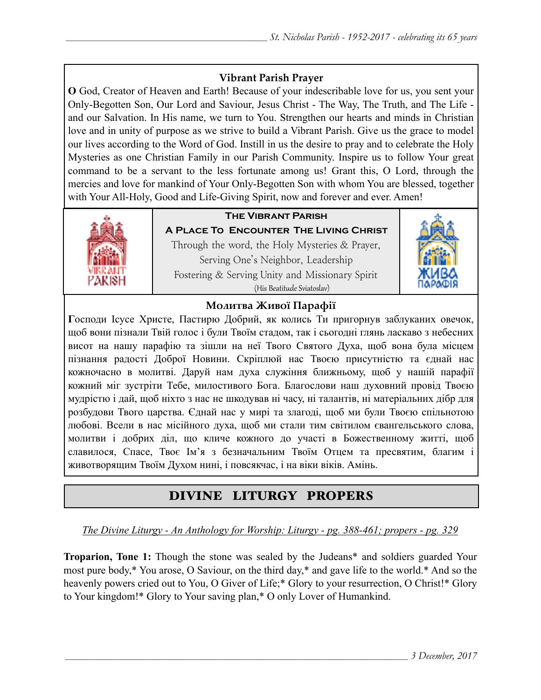### **Vibrant Parish Prayer**

**O** God, Creator of Heaven and Earth! Because of your indescribable love for us, you sent your Only-Begotten Son, Our Lord and Saviour, Jesus Christ - The Way, The Truth, and The Life and our Salvation. In His name, we turn to You. Strengthen our hearts and minds in Christian love and in unity of purpose as we strive to build a Vibrant Parish. Give us the grace to model our lives according to the Word of God. Instill in us the desire to pray and to celebrate the Holy Mysteries as one Christian Family in our Parish Community. Inspire us to follow Your great command to be a servant to the less fortunate among us! Grant this, O Lord, through the mercies and love for mankind of Your Only-Begotten Son with whom You are blessed, together with Your All-Holy, Good and Life-Giving Spirit, now and forever and ever. Amen!



# **The Vibrant Parish**

**A Place To Encounter The Living Christ** Through the word, the Holy Mysteries & Prayer, Serving One's Neighbor, Leadership Fostering & Serving Unity and Missionary Spirit (His Beatitude Sviatoslav)



### **Молитва Живої Парафії**

**Г**осподи Ісусе Христе, Пастирю Добрий, як колись Ти пригорнув заблуканих овечок, щоб вони пізнали Твій голос і були Твоїм стадом, так і сьогодні глянь ласкаво з небесних висот на нашу парафію та зішли на неї Твого Святого Духа, щоб вона була місцем пізнання радості Доброї Новини. Скріплюй нас Твоєю присутністю та єднай нас кожночасно в молитві. Даруй нам духа служіння ближньому, щоб у нашій парафії кожний міг зустріти Тебе, милостивого Бога. Благослови наш духовний провід Твоєю мудрістю і дай, щоб ніхто з нас не шкодував ні часу, ні талантів, ні матеріальних дібр для розбудови Твого царства. Єднай нас у мирі та злагоді, щоб ми були Твоєю спільнотою любові. Всели в нас місійного духа, щоб ми стали тим світилом євангельського слова, молитви і добрих діл, що кличе кожного до участі в Божественному житті, щоб славилося, Спасе, Твоє Ім'я з безначальним Твоїм Отцем та пресвятим, благим і животворящим Твоїм Духом нині, і повсякчас, і на віки віків. Амінь.

# DIVINE LITURGY PROPERS

*The Divine Liturgy - An Anthology for Worship: Liturgy - pg. 388-461; propers - pg. 329* 

**Troparion, Tone 1:** Though the stone was sealed by the Judeans\* and soldiers guarded Your most pure body,\* You arose, O Saviour, on the third day,\* and gave life to the world.\* And so the heavenly powers cried out to You, O Giver of Life;\* Glory to your resurrection, O Christ!\* Glory to Your kingdom!\* Glory to Your saving plan,\* O only Lover of Humankind.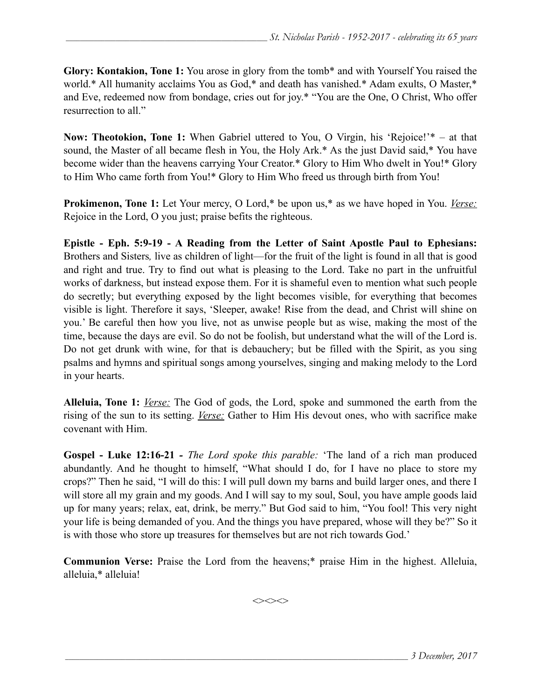**Glory: Kontakion, Tone 1:** You arose in glory from the tomb\* and with Yourself You raised the world.\* All humanity acclaims You as God,\* and death has vanished.\* Adam exults, O Master,\* and Eve, redeemed now from bondage, cries out for joy.\* "You are the One, O Christ, Who offer resurrection to all."

**Now: Theotokion, Tone 1:** When Gabriel uttered to You, O Virgin, his 'Rejoice!'\* – at that sound, the Master of all became flesh in You, the Holy Ark.\* As the just David said,\* You have become wider than the heavens carrying Your Creator.\* Glory to Him Who dwelt in You!\* Glory to Him Who came forth from You!\* Glory to Him Who freed us through birth from You!

**Prokimenon, Tone 1:** Let Your mercy, O Lord,\* be upon us,\* as we have hoped in You. *Verse:* Rejoice in the Lord, O you just; praise befits the righteous.

**Epistle - Eph. 5:9-19 - A Reading from the Letter of Saint Apostle Paul to Ephesians:**  Brothers and Sisters*,* live as children of light—for the fruit of the light is found in all that is good and right and true. Try to find out what is pleasing to the Lord. Take no part in the unfruitful works of darkness, but instead expose them. For it is shameful even to mention what such people do secretly; but everything exposed by the light becomes visible, for everything that becomes visible is light. Therefore it says, 'Sleeper, awake! Rise from the dead, and Christ will shine on you.' Be careful then how you live, not as unwise people but as wise, making the most of the time, because the days are evil. So do not be foolish, but understand what the will of the Lord is. Do not get drunk with wine, for that is debauchery; but be filled with the Spirit, as you sing psalms and hymns and spiritual songs among yourselves, singing and making melody to the Lord in your hearts.

**Alleluia, Tone 1:** *Verse:* The God of gods, the Lord, spoke and summoned the earth from the rising of the sun to its setting. *Verse:* Gather to Him His devout ones, who with sacrifice make covenant with Him.

**Gospel - Luke 12:16-21** *- The Lord spoke this parable:* 'The land of a rich man produced abundantly. And he thought to himself, "What should I do, for I have no place to store my crops?" Then he said, "I will do this: I will pull down my barns and build larger ones, and there I will store all my grain and my goods. And I will say to my soul, Soul, you have ample goods laid up for many years; relax, eat, drink, be merry." But God said to him, "You fool! This very night your life is being demanded of you. And the things you have prepared, whose will they be?" So it is with those who store up treasures for themselves but are not rich towards God.'

**Communion Verse:** Praise the Lord from the heavens;\* praise Him in the highest. Alleluia, alleluia,\* alleluia!

 $\iff$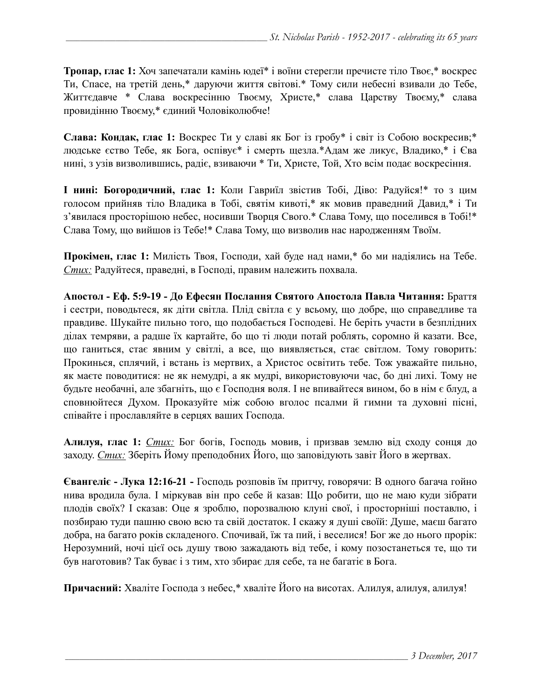**Тропар, глас 1:** Хоч запечатали камінь юдеї\* і воїни стерегли пречисте тіло Твоє,\* воскрес Ти, Спасе, на третій день,\* даруючи життя світові.\* Тому сили небесні взивали до Тебе, Життєдавче \* Слава воскресінню Твоєму, Христе,\* слава Царству Твоєму,\* слава провидінню Твоєму,\* єдиний Чоловіколюбче!

**Слава: Кондак, глас 1:** Воскрес Ти у славі як Бог із гробу\* і світ із Собою воскресив;\* людське єство Тебе, як Бога, оспівує\* і смерть щезла.\*Адам же ликує, Владико,\* і Єва нині, з узів визволившись, радіє, взиваючи \* Ти, Христе, Той, Хто всім подає воскресіння.

**І нині: Богородичний, глас 1:** Коли Гавриїл звістив Тобі, Діво: Радуйся!\* то з цим голосом прийняв тіло Владика в Тобі, святім кивоті,\* як мовив праведний Давид,\* і Ти з'явилася просторішою небес, носивши Творця Свого.\* Слава Тому, що поселився в Тобі!\* Слава Тому, що вийшов із Тебе!\* Слава Тому, що визволив нас народженням Твоїм.

**Прокімен, глас 1:** Милість Твоя, Господи, хай буде над нами,\* бо ми надіялись на Тебе. *Стих:* Радуйтеся, праведні, в Господі, правим належить похвала.

**Апостол - Еф. 5:9-19 - До Ефесян Послання Святого Апостола Павла Читання:** Браття і сестри, поводьтеся, як діти світла. Плід світла є у всьому, що добре, що справедливе та правдиве. Шукайте пильно того, що подобається Господеві. Не беріть участи в безплідних ділах темряви, а радше їх картайте, бо що ті люди потай роблять, соромно й казати. Все, що ганиться, стає явним у світлі, а все, що виявляється, стає світлом. Тому говорить: Прокинься, сплячий, і встань із мертвих, а Христос освітить тебе. Тож уважайте пильно, як маєте поводитися: не як немудрі, а як мудрі, використовуючи час, бо дні лихі. Тому не будьте необачні, але збагніть, що є Господня воля. І не впивайтеся вином, бо в нім є блуд, а сповнюйтеся Духом. Проказуйте між собою вголос псалми й гимни та духовні пісні, співайте і прославляйте в серцях ваших Господа.

**Алилуя, глас 1:** *Стих:* Бог богів, Господь мовив, і призвав землю від сходу сонця до заходу. *Стих:* Зберіть Йому преподобних Його, що заповідують завіт Його в жертвах.

**Євангеліє - Лука 12:16-21 -** Господь розповів їм притчу, говорячи: В одного багача гойно нива вродила була. І міркував він про себе й казав: Що робити, що не маю куди зібрати плодів своїх? І сказав: Оце я зроблю, порозвалюю клуні свої, і просторніші поставлю, і позбираю туди пашню свою всю та свій достаток. І скажу я душі своїй: Душе, маєш багато добра, на багато років складеного. Спочивай, їж та пий, і веселися! Бог же до нього прорік: Нерозумний, ночі цієї ось душу твою зажадають від тебе, і кому позостанеться те, що ти був наготовив? Так буває і з тим, хто збирає для себе, та не багатіє в Бога.

**Причасний:** Хваліте Господа з небес,\* хваліте Його на висотах. Алилуя, алилуя, алилуя!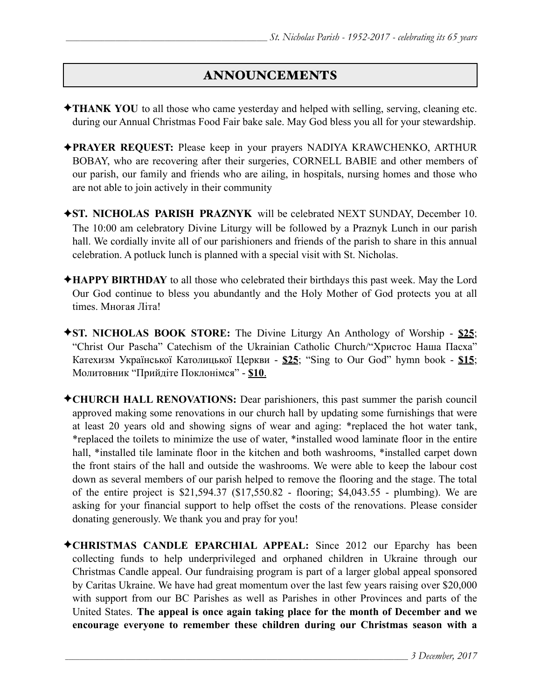# ANNOUNCEMENTS

- ✦**THANK YOU** to all those who came yesterday and helped with selling, serving, cleaning etc. during our Annual Christmas Food Fair bake sale. May God bless you all for your stewardship.
- ✦**PRAYER REQUEST:** Please keep in your prayers NADIYA KRAWCHENKO, ARTHUR BOBAY, who are recovering after their surgeries, CORNELL BABIE and other members of our parish, our family and friends who are ailing, in hospitals, nursing homes and those who are not able to join actively in their community
- ✦**ST. NICHOLAS PARISH PRAZNYK** will be celebrated NEXT SUNDAY, December 10. The 10:00 am celebratory Divine Liturgy will be followed by a Praznyk Lunch in our parish hall. We cordially invite all of our parishioners and friends of the parish to share in this annual celebration. A potluck lunch is planned with a special visit with St. Nicholas.
- ✦**HAPPY BIRTHDAY** to all those who celebrated their birthdays this past week. May the Lord Our God continue to bless you abundantly and the Holy Mother of God protects you at all times. Многая Літа!
- ✦**ST. NICHOLAS BOOK STORE:** The Divine Liturgy An Anthology of Worship **\$25**; "Christ Our Pascha" Catechism of the Ukrainian Catholic Church/"Христос Наша Пасха" Катехизм Української Католицької Церкви - **\$25**; "Sing to Our God" hymn book - **\$15**; Молитовник "Прийдіте Поклонімся" - **\$10**.
- ✦**CHURCH HALL RENOVATIONS:** Dear parishioners, this past summer the parish council approved making some renovations in our church hall by updating some furnishings that were at least 20 years old and showing signs of wear and aging: \*replaced the hot water tank, \*replaced the toilets to minimize the use of water, \*installed wood laminate floor in the entire hall, \*installed tile laminate floor in the kitchen and both washrooms, \*installed carpet down the front stairs of the hall and outside the washrooms. We were able to keep the labour cost down as several members of our parish helped to remove the flooring and the stage. The total of the entire project is \$21,594.37 (\$17,550.82 - flooring; \$4,043.55 - plumbing). We are asking for your financial support to help offset the costs of the renovations. Please consider donating generously. We thank you and pray for you!
- ✦**CHRISTMAS CANDLE EPARCHIAL APPEAL:** Since 2012 our Eparchy has been collecting funds to help underprivileged and orphaned children in Ukraine through our Christmas Candle appeal. Our fundraising program is part of a larger global appeal sponsored by Caritas Ukraine. We have had great momentum over the last few years raising over \$20,000 with support from our BC Parishes as well as Parishes in other Provinces and parts of the United States. **The appeal is once again taking place for the month of December and we encourage everyone to remember these children during our Christmas season with a**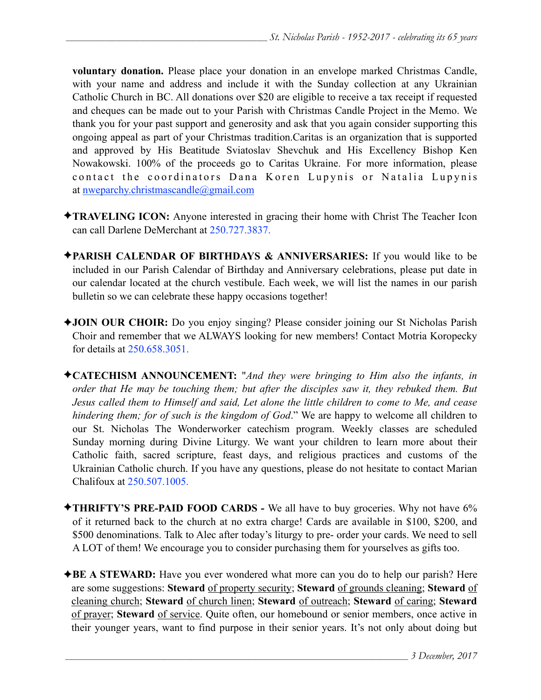**voluntary donation.** Please place your donation in an envelope marked Christmas Candle, with your name and address and include it with the Sunday collection at any Ukrainian Catholic Church in BC. All donations over \$20 are eligible to receive a tax receipt if requested and cheques can be made out to your Parish with Christmas Candle Project in the Memo. We thank you for your past support and generosity and ask that you again consider supporting this ongoing appeal as part of your Christmas tradition.Caritas is an organization that is supported and approved by His Beatitude Sviatoslav Shevchuk and His Excellency Bishop Ken Nowakowski. 100% of the proceeds go to Caritas Ukraine. For more information, please contact the coordinators Dana Koren Lupynis or Natalia Lupynis at [nweparchy.christmascandle@gmail.com](mailto:nweparchy.christmascandle@gmail.com)

- ✦**TRAVELING ICON:** Anyone interested in gracing their home with Christ The Teacher Icon can call Darlene DeMerchant at 250.727.3837.
- ✦**PARISH CALENDAR OF BIRTHDAYS & ANNIVERSARIES:** If you would like to be included in our Parish Calendar of Birthday and Anniversary celebrations, please put date in our calendar located at the church vestibule. Each week, we will list the names in our parish bulletin so we can celebrate these happy occasions together!
- ✦**JOIN OUR CHOIR:** Do you enjoy singing? Please consider joining our St Nicholas Parish Choir and remember that we ALWAYS looking for new members! Contact Motria Koropecky for details at 250.658.3051.
- ✦**CATECHISM ANNOUNCEMENT:** "*And they were bringing to Him also the infants, in order that He may be touching them; but after the disciples saw it, they rebuked them. But Jesus called them to Himself and said, Let alone the little children to come to Me, and cease hindering them; for of such is the kingdom of God*." We are happy to welcome all children to our St. Nicholas The Wonderworker catechism program. Weekly classes are scheduled Sunday morning during Divine Liturgy. We want your children to learn more about their Catholic faith, sacred scripture, feast days, and religious practices and customs of the Ukrainian Catholic church. If you have any questions, please do not hesitate to contact Marian Chalifoux at 250.507.1005.
- ✦**THRIFTY'S PRE-PAID FOOD CARDS** We all have to buy groceries. Why not have 6% of it returned back to the church at no extra charge! Cards are available in \$100, \$200, and \$500 denominations. Talk to Alec after today's liturgy to pre- order your cards. We need to sell A LOT of them! We encourage you to consider purchasing them for yourselves as gifts too.
- **★BE A STEWARD:** Have you ever wondered what more can you do to help our parish? Here are some suggestions: **Steward** of property security; **Steward** of grounds cleaning; **Steward** of cleaning church; **Steward** of church linen; **Steward** of outreach; **Steward** of caring; **Steward** of prayer; **Steward** of service. Quite often, our homebound or senior members, once active in their younger years, want to find purpose in their senior years. It's not only about doing but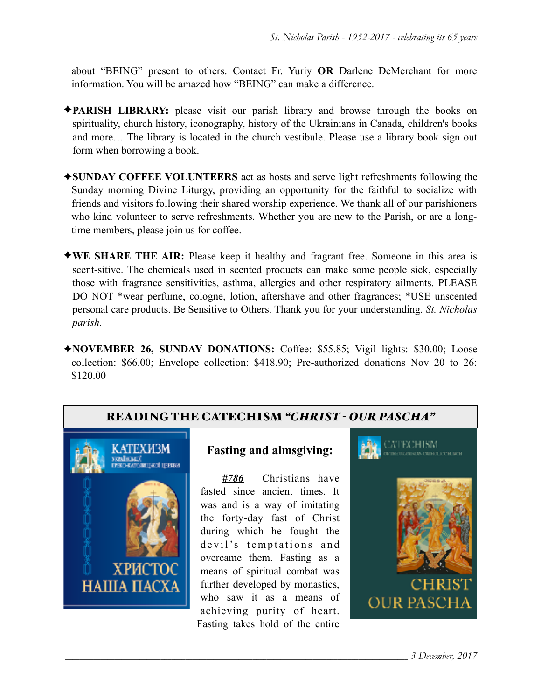about "BEING" present to others. Contact Fr. Yuriy **OR** Darlene DeMerchant for more information. You will be amazed how "BEING" can make a difference.

- ✦**PARISH LIBRARY:** please visit our parish library and browse through the books on spirituality, church history, iconography, history of the Ukrainians in Canada, children's books and more… The library is located in the church vestibule. Please use a library book sign out form when borrowing a book.
- ✦**SUNDAY COFFEE VOLUNTEERS** act as hosts and serve light refreshments following the Sunday morning Divine Liturgy, providing an opportunity for the faithful to socialize with friends and visitors following their shared worship experience. We thank all of our parishioners who kind volunteer to serve refreshments. Whether you are new to the Parish, or are a longtime members, please join us for coffee.
- ✦**WE SHARE THE AIR:** Please keep it healthy and fragrant free. Someone in this area is scent-sitive. The chemicals used in scented products can make some people sick, especially those with fragrance sensitivities, asthma, allergies and other respiratory ailments. PLEASE DO NOT \*wear perfume, cologne, lotion, aftershave and other fragrances; \*USE unscented personal care products. Be Sensitive to Others. Thank you for your understanding. *St. Nicholas parish.*
- ✦**NOVEMBER 26, SUNDAY DONATIONS:** Coffee: \$55.85; Vigil lights: \$30.00; Loose collection: \$66.00; Envelope collection: \$418.90; Pre-authorized donations Nov 20 to 26: \$120.00

# READING THE CATECHISM *"CHRIST - OUR PASCHA"*



### **Fasting and almsgiving:**

*#786* Christians have fasted since ancient times. It was and is a way of imitating the forty-day fast of Christ during which he fought the devil's temptations and overcame them. Fasting as a means of spiritual combat was further developed by monastics, who saw it as a means of achieving purity of heart. Fasting takes hold of the entire